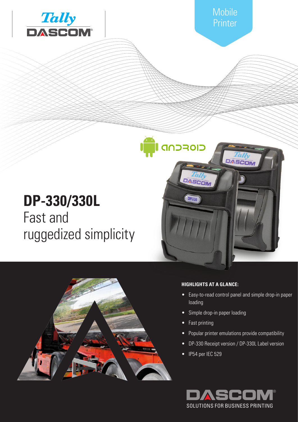

**Mobile** Printer

# **DP-330/330L** Fast and ruggedized simplicity



### **HIGHLIGHTS AT A GLANCE:**

• Easy-to-read control panel and simple drop-in paper loading

DASCON

- Simple drop-in paper loading
- Fast printing

**GIOFCND** 

DASCOM

**DP330** 

- Popular printer emulations provide compatibility
- DP-330 Receipt version / DP-330L Label version
- IP54 per IEC 529